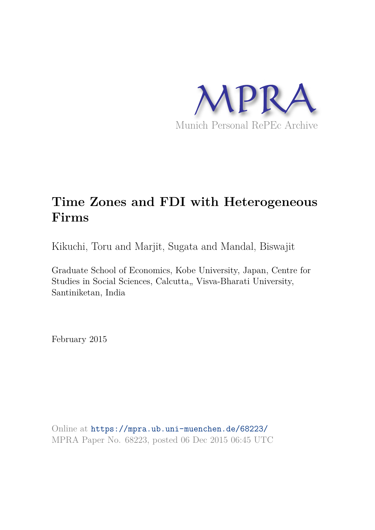

# **Time Zones and FDI with Heterogeneous Firms**

Kikuchi, Toru and Marjit, Sugata and Mandal, Biswajit

Graduate School of Economics, Kobe University, Japan, Centre for Studies in Social Sciences, Calcutta,, Visva-Bharati University, Santiniketan, India

February 2015

Online at https://mpra.ub.uni-muenchen.de/68223/ MPRA Paper No. 68223, posted 06 Dec 2015 06:45 UTC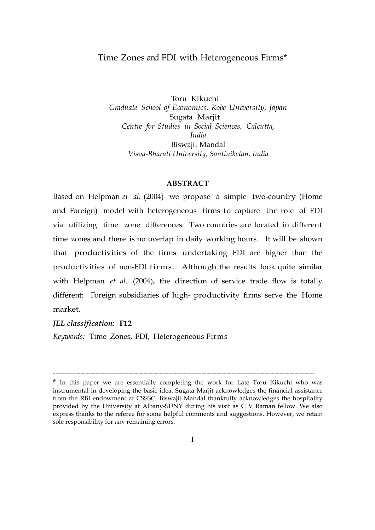# Time Zones and FDI with Heterogeneous Firms\*

Toru Kikuchi *Graduate School of Economics, Kobe University, Japan* Sugata Marjit *Centre for Studies in Social Sciences, Calcutta, India*  Biswajit Mandal *Visva-Bharati University, Santiniketan, India*

#### **ABSTRACT**

Based on Helpman *et al.* (2004) we propose a simple two-country (Home and Foreign) model with heterogeneous firms to capture the role of FDI via utilizing time zone differences. Two countries are located in different time zones and there is no overlap in daily working hours. It will be shown that productivities of the firms undertaking FDI are higher than the productivities of non-FDI firms. Although the results look quite similar with Helpman *et al.* (2004), the direction of service trade flow is totally different: Foreign subsidiaries of high- productivity firms serve the Home market.

#### *JEL classification:* **F12**

*Keywords:* Time Zones, FDI, Heterogeneous Firms

--------------------------------------------------------------------------------------------------------

<sup>\*</sup> In this paper we are essentially completing the work for Late Toru Kikuchi who was instrumental in developing the basic idea. Sugata Marjit acknowledges the financial assistance from the RBI endowment at CSSSC. Biswajit Mandal thankfully acknowledges the hospitality provided by the University at Albany-SUNY during his visit as C V Raman fellow. We also express thanks to the referee for some helpful comments and suggestions. However, we retain sole responsibility for any remaining errors.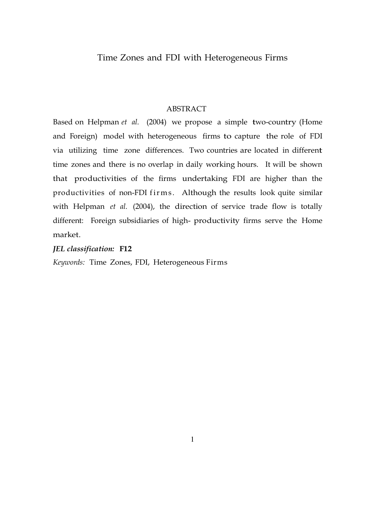# ABSTRACT

Based on Helpman *et al.* (2004) we propose a simple two-country (Home and Foreign) model with heterogeneous firms to capture the role of FDI via utilizing time zone differences. Two countries are located in different time zones and there is no overlap in daily working hours. It will be shown that productivities of the firms undertaking FDI are higher than the productivities of non-FDI firms. Although the results look quite similar with Helpman *et al.* (2004), the direction of service trade flow is totally different: Foreign subsidiaries of high- productivity firms serve the Home market.

# *JEL classification:* **F12**

*Keywords:* Time Zones, FDI, Heterogeneous Firms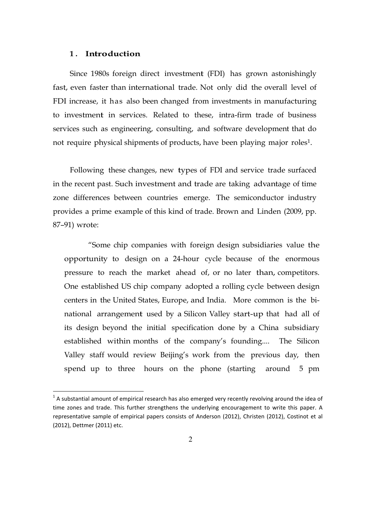# **1 . Introduction**

 $\overline{a}$ 

Since 1980s foreign direct investment (FDI) has grown astonishingly fast, even faster than international trade. Not only did the overall level of FDI increase, it has also been changed from investments in manufacturing to investment in services. Related to these, intra-firm trade of business services such as engineering, consulting, and software development that do not require physical shipments of products, have been playing major roles 1.

Following these changes, new types of FDI and service trade surfaced in the recent past. Such investment and trade are taking advantage of time zone differences between countries emerge. The semiconductor industry provides a prime example of this kind of trade. Brown and Linden (2009, pp. 87–91) wrote:

"Some chip companies with foreign design subsidiaries value the opportunity to design on a 24-hour cycle because of the enormous pressure to reach the market ahead of, or no later than, competitors. One established US chip company adopted a rolling cycle between design centers in the United States, Europe, and India. More common is the binational arrangement used by a Silicon Valley start-up that had all of its design beyond the initial specification done by a China subsidiary established within months of the company's founding.... The Silicon Valley staff would review Beijing's work from the previous day, then spend up to three hours on the phone (starting around 5 pm

 $^1$  A substantial amount of empirical research has also emerged very recently revolving around the idea of time zones and trade. This further strengthens the underlying encouragement to write this paper. A representative sample of empirical papers consists of Anderson (2012), Christen (2012), Costinot et al (2012), Dettmer (2011) etc.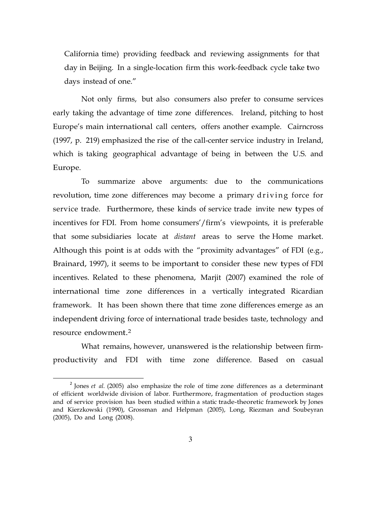California time) providing feedback and reviewing assignments for that day in Beijing. In a single-location firm this work-feedback cycle take two days instead of one."

Not only firms, but also consumers also prefer to consume services early taking the advantage of time zone differences. Ireland, pitching to host Europe's main international call centers, offers another example. Cairncross (1997, p. 219) emphasized the rise of the call-center service industry in Ireland, which is taking geographical advantage of being in between the U.S. and Europe.

To summarize above arguments: due to the communications revolution, time zone differences may become a primary driving force for service trade. Furthermore, these kinds of service trade invite new types of incentives for FDI. From home consumers'/firm's viewpoints, it is preferable that some subsidiaries locate at *distant* areas to serve the Home market. Although this point is at odds with the "proximity advantages" of FDI (e.g., Brainard, 1997), it seems to be important to consider these new types of FDI incentives. Related to these phenomena, Marjit (2007) examined the role of international time zone differences in a vertically integrated Ricardian framework. It has been shown there that time zone differences emerge as an independent driving force of international trade besides taste, technology and resource endowment.<sup>2</sup>

What remains, however, unanswered is the relationship between firmproductivity and FDI with time zone difference. Based on casual

<sup>&</sup>lt;sup>2</sup> Jones *et al.* (2005) also emphasize the role of time zone differences as a determinant of efficient worldwide division of labor. Furthermore, fragmentation of production stages and of service provision has been studied within a static trade-theoretic framework by Jones and Kierzkowski (1990), Grossman and Helpman (2005), Long, Riezman and Soubeyran (2005), Do and Long (2008).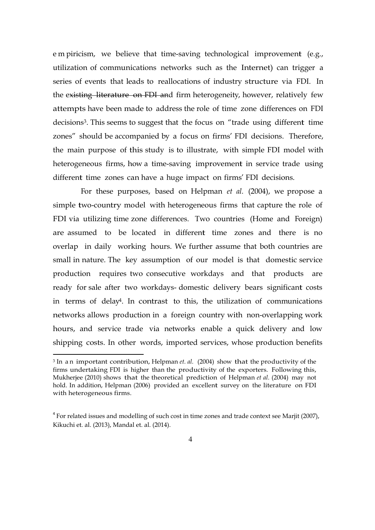e m piricism, we believe that time-saving technological improvement (e.g., utilization of communications networks such as the Internet) can trigger a series of events that leads to reallocations of industry structure via FDI. In the existing literature on FDI and firm heterogeneity, however, relatively few attempts have been made to address the role of time zone differences on FDI decisions<sup>3</sup>. This seems to suggest that the focus on "trade using different time zones" should be accompanied by a focus on firms' FDI decisions. Therefore, the main purpose of this study is to illustrate, with simple FDI model with heterogeneous firms, how a time-saving improvement in service trade using different time zones can have a huge impact on firms' FDI decisions.

For these purposes, based on Helpman *et al.* (2004), we propose a simple two-country model with heterogeneous firms that capture the role of FDI via utilizing time zone differences. Two countries (Home and Foreign) are assumed to be located in different time zones and there is no overlap in daily working hours. We further assume that both countries are small in nature. The key assumption of our model is that domestic service production requires two consecutive workdays and that products are ready for sale after two workdays- domestic delivery bears significant costs in terms of delay4. In contrast to this, the utilization of communications networks allows production in a foreign country with non-overlapping work hours, and service trade via networks enable a quick delivery and low shipping costs. In other words, imported services, whose production benefits

l

<sup>&</sup>lt;sup>3</sup> In an important contribution, Helpman *et. al.* (2004) show that the productivity of the firms undertaking FDI is higher than the productivity of the exporters. Following this, Mukherjee (2010) shows that the theoretical prediction of Helpman *et al.* (2004) may not hold. In addition, Helpman (2006) provided an excellent survey on the literature on FDI with heterogeneous firms.

 $4$  For related issues and modelling of such cost in time zones and trade context see Marjit (2007), Kikuchi et. al. (2013), Mandal et. al. (2014).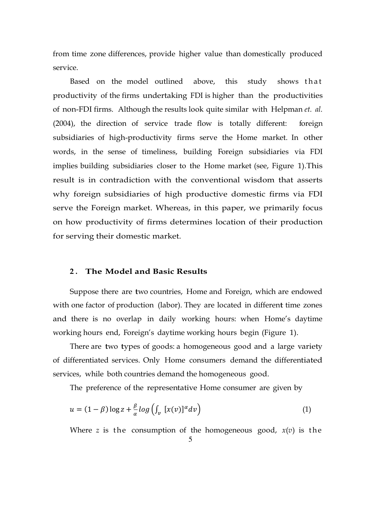from time zone differences, provide higher value than domestically produced service.

Based on the model outlined above, this study shows that productivity of the firms undertaking FDI is higher than the productivities of non-FDI firms. Although the results look quite similar with Helpman *et. al.*  (2004), the direction of service trade flow is totally different: foreign subsidiaries of high-productivity firms serve the Home market. In other words, in the sense of timeliness, building Foreign subsidiaries via FDI implies building subsidiaries closer to the Home market (see, Figure 1).This result is in contradiction with the conventional wisdom that asserts why foreign subsidiaries of high productive domestic firms via FDI serve the Foreign market. Whereas, in this paper, we primarily focus on how productivity of firms determines location of their production for serving their domestic market.

#### **2 . The Model and Basic Results**

Suppose there are two countries, Home and Foreign, which are endowed with one factor of production (labor). They are located in different time zones and there is no overlap in daily working hours: when Home's daytime working hours end, Foreign's daytime working hours begin (Figure 1).

There are two types of goods: a homogeneous good and a large variety of differentiated services. Only Home consumers demand the differentiated services, while both countries demand the homogeneous good.

The preference of the representative Home consumer are given by

$$
u = (1 - \beta) \log z + \frac{\beta}{\alpha} \log \left( \int_{\nu} [x(v)]^{\alpha} dv \right)
$$
 (1)

Where *z* is the consumption of the homogeneous good,  $x(v)$  is the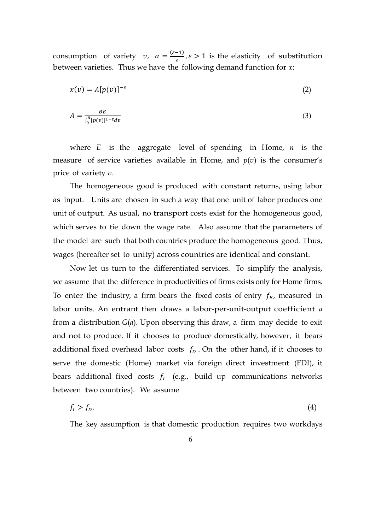consumption of variety *v*,  $\alpha = \frac{(\varepsilon - 1)}{\varepsilon}$  $\frac{(-1)}{\varepsilon}, \varepsilon > 1$  is the elasticity of substitution between varieties. Thus we have the following demand function for *x*:

$$
x(v) = A[p(v)]^{-\varepsilon}
$$
 (2)

$$
A = \frac{BE}{\int_0^n [p(v)]^{1-\epsilon} dv} \tag{3}
$$

where *E* is the aggregate level of spending in Home, *n* is the measure of service varieties available in Home, and  $p(v)$  is the consumer's price of variety *v*.

The homogeneous good is produced with constant returns, using labor as input. Units are chosen in such a way that one unit of labor produces one unit of output. As usual, no transport costs exist for the homogeneous good, which serves to tie down the wage rate. Also assume that the parameters of the model are such that both countries produce the homogeneous good. Thus, wages (hereafter set to unity) across countries are identical and constant.

Now let us turn to the differentiated services. To simplify the analysis, we assume that the difference in productivities of firms exists only for Home firms. To enter the industry, a firm bears the fixed costs of entry  $f_E$ , measured in labor units. An entrant then draws a labor-per-unit-output coefficient *a*  from a distribution *G*(*a*). Upon observing this draw, a firm may decide to exit and not to produce. If it chooses to produce domestically, however, it bears additional fixed overhead labor costs  $f<sub>p</sub>$ . On the other hand, if it chooses to serve the domestic (Home) market via foreign direct investment (FDI), it bears additional fixed costs  $f_I$  (e.g., build up communications networks between two countries). We assume

$$
f_l > f_D. \tag{4}
$$

The key assumption is that domestic production requires two workdays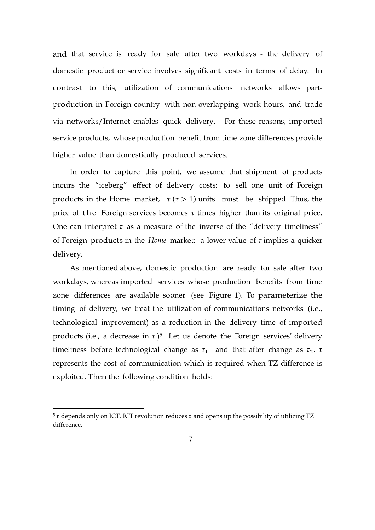and that service is ready for sale after two workdays - the delivery of domestic product or service involves significant costs in terms of delay. In contrast to this, utilization of communications networks allows partproduction in Foreign country with non-overlapping work hours, and trade via networks/Internet enables quick delivery. For these reasons, imported service products, whose production benefit from time zone differences provide higher value than domestically produced services.

In order to capture this point, we assume that shipment of products incurs the "iceberg" effect of delivery costs: to sell one unit of Foreign products in the Home market,  $\tau(\tau > 1)$  units must be shipped. Thus, the price of the Foreign services becomes  $\tau$  times higher than its original price. One can interpret  $\tau$  as a measure of the inverse of the "delivery timeliness" of Foreign products in the *Home* market: a lower value of *τ* implies a quicker delivery.

As mentioned above, domestic production are ready for sale after two workdays, whereas imported services whose production benefits from time zone differences are available sooner (see Figure 1). To parameterize the timing of delivery, we treat the utilization of communications networks (i.e., technological improvement) as a reduction in the delivery time of imported products (i.e., a decrease in  $\tau$  )<sup>5</sup>. Let us denote the Foreign services' delivery timeliness before technological change as  $\tau_1$  and that after change as  $\tau_2$ .  $\tau$ represents the cost of communication which is required when TZ difference is exploited. Then the following condition holds:

 $5 \tau$  depends only on ICT. ICT revolution reduces  $\tau$  and opens up the possibility of utilizing TZ difference.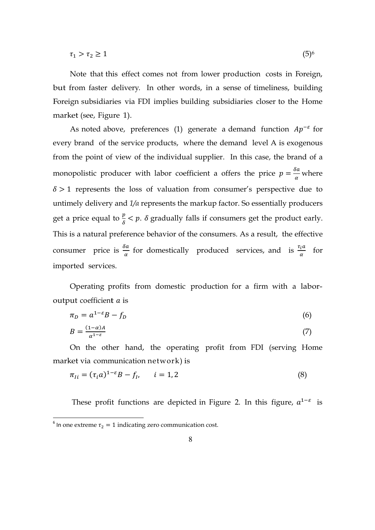$$
\tau_1 > \tau_2 \ge 1 \tag{5}
$$

Note that this effect comes not from lower production costs in Foreign, but from faster delivery. In other words, in a sense of timeliness, building Foreign subsidiaries via FDI implies building subsidiaries closer to the Home market (see, Figure 1).

As noted above, preferences (1) generate a demand function  $Ap^{-\varepsilon}$  for every brand of the service products, where the demand level A is exogenous from the point of view of the individual supplier. In this case, the brand of a monopolistic producer with labor coefficient a offers the price  $p = \frac{\delta a}{\alpha}$  $\frac{\pi}{\alpha}$  where  $\delta > 1$  represents the loss of valuation from consumer's perspective due to untimely delivery and *1/α* represents the markup factor. So essentially producers get a price equal to  $\frac{p}{\delta} < p$ .  $\delta$  gradually falls if consumers get the product early. This is a natural preference behavior of the consumers. As a result, the effective consumer price is  $\frac{\delta a}{\alpha}$  for domestically produced services, and is  $\frac{\tau_i a}{\alpha}$  for imported services.

Operating profits from domestic production for a firm with a laboroutput coefficient  $a$  is

$$
\pi_D = a^{1-\varepsilon}B - f_D \tag{6}
$$

$$
B = \frac{(1 - \alpha)A}{\alpha^{1 - \varepsilon}}\tag{7}
$$

On the other hand, the operating profit from FDI (serving Home market via communication network) is

$$
\pi_{li} = (\tau_i a)^{1-\epsilon} B - f_l, \qquad i = 1, 2 \tag{8}
$$

These profit functions are depicted in Figure 2. In this figure,  $a^{1-\varepsilon}$  is

<sup>&</sup>lt;sup>6</sup> In one extreme  $\tau_2 = 1$  indicating zero communication cost.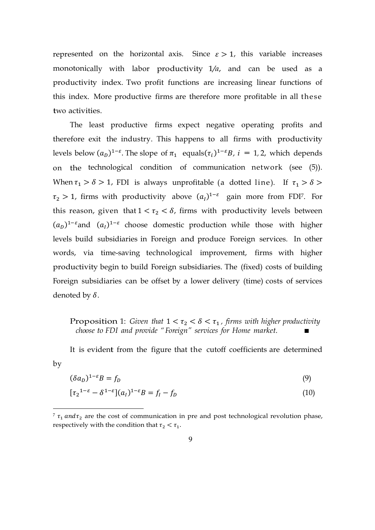represented on the horizontal axis. Since  $\varepsilon > 1$ , this variable increases monotonically with labor productivity 1*/a*, and can be used as a productivity index. Two profit functions are increasing linear functions of this index. More productive firms are therefore more profitable in all these two activities.

The least productive firms expect negative operating profits and therefore exit the industry. This happens to all firms with productivity levels below  $(a_D)^{1-\epsilon}$ . The slope of  $\pi_1$  equals $(\tau_i)^{1-\epsilon}B$ ,  $i = 1, 2$ , which depends on the technological condition of communication network (see (5)). When  $\tau_1 > \delta > 1$ , FDI is always unprofitable (a dotted line). If  $\tau_1 > \delta >$  $\tau_2 > 1$ , firms with productivity above  $(a_l)^{1-\varepsilon}$  gain more from FDI<sup>7</sup>. For this reason, given that  $1 < \tau_2 < \delta$ , firms with productivity levels between  $(a_D)^{1-\epsilon}$  and  $(a_I)^{1-\epsilon}$  choose domestic production while those with higher levels build subsidiaries in Foreign and produce Foreign services. In other words, via time-saving technological improvement, firms with higher productivity begin to build Foreign subsidiaries. The (fixed) costs of building Foreign subsidiaries can be offset by a lower delivery (time) costs of services denoted by  $\delta$ .

# Proposition 1: *Given that*  $1 < \tau_2 < \delta < \tau_1$ , *firms with higher productivity choose to FDI and provide " Foreign" services for Home market.*

It is evident from the figure that the cutoff coefficients are determined by

$$
(\delta a_D)^{1-\varepsilon}B = f_D \tag{9}
$$

$$
[\tau_2^{1-\varepsilon} - \delta^{1-\varepsilon}](a_I)^{1-\varepsilon}B = f_I - f_D \tag{10}
$$

 $\tau$   $\tau_1$  and  $\tau_2$  are the cost of communication in pre and post technological revolution phase, respectively with the condition that  $\tau_2 < \tau_1$ .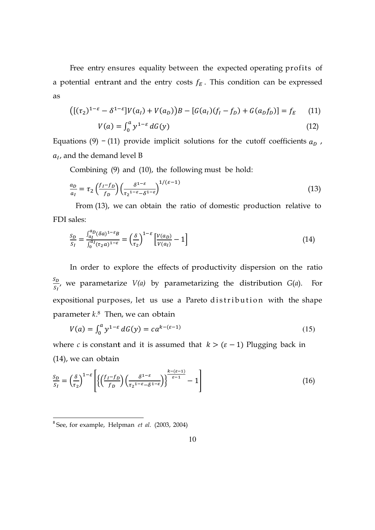Free entry ensures equality between the expected operating profits of a potential entrant and the entry costs  $f_E$ . This condition can be expressed as

$$
([(\tau_2)^{1-\varepsilon} - \delta^{1-\varepsilon}]V(a_I) + V(a_D))B - [G(a_I)(f_I - f_D) + G(a_D f_D)] = f_E \qquad (11)
$$

$$
V(a) = \int_0^a y^{1-\varepsilon} dG(y) \tag{12}
$$

Equations (9)  $-$  (11) provide implicit solutions for the cutoff coefficients  $a<sub>D</sub>$ ,  $a<sub>l</sub>$ , and the demand level B

Combining (9) and (10), the following must be hold:

$$
\frac{a_D}{a_I} = \tau_2 \left(\frac{f_I - f_D}{f_D}\right) \left(\frac{\delta^{1-\varepsilon}}{\tau_2^{1-\varepsilon} - \delta^{1-\varepsilon}}\right)^{1/(\varepsilon - 1)}\tag{13}
$$

From (13), we can obtain the ratio of domestic production relative to FDI sales:

$$
\frac{S_D}{S_I} = \frac{\int_{a_I}^{a_D} (\delta a)^{1-\epsilon} B}{\int_0^{a_I} (\tau_2 a)^{1-\epsilon}} = \left(\frac{\delta}{\tau_2}\right)^{1-\epsilon} \left[\frac{V(a_D)}{V(a_I)} - 1\right]
$$
(14)

In order to explore the effects of productivity dispersion on the ratio  $S_D$  $\frac{\partial D}{\partial S_I}$ , we parametarize *V(a)* by parametarizing the distribution *G(a)*. For expositional purposes, let us use a Pareto distribution with the shape parameter *k*. <sup>8</sup> Then, we can obtain

$$
V(a) = \int_0^a y^{1-\varepsilon} dG(y) = c a^{k-(\varepsilon-1)}
$$
 (15)

where *c* is constant and it is assumed that  $k > (\varepsilon - 1)$  Plugging back in (14), we can obtain

$$
\frac{S_D}{S_I} = \left(\frac{\delta}{\tau_2}\right)^{1-\varepsilon} \left[ \left\{ \left(\frac{f_I - f_D}{f_D}\right) \left(\frac{\delta^{1-\varepsilon}}{\tau_2^{1-\varepsilon} - \delta^{1-\varepsilon}}\right) \right\}^{\frac{k-(\varepsilon-1)}{\varepsilon-1}} - 1 \right]
$$
(16)

<sup>8</sup> See, for example, Helpman *et al.* (2003, 2004)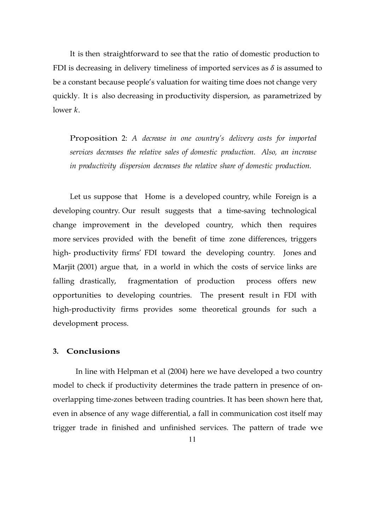It is then straightforward to see that the ratio of domestic production to FDI is decreasing in delivery timeliness of imported services as  $\delta$  is assumed to be a constant because people's valuation for waiting time does not change very quickly. It is also decreasing in productivity dispersion, as parametrized by lower *k*.

Proposition 2: *A decrease in one country's delivery costs for imported services decreases the relative sales of domestic production. Also, an increase in productivity dispersion decreases the relative share of domestic production.*

Let us suppose that Home is a developed country, while Foreign is a developing country. Our result suggests that a time-saving technological change improvement in the developed country, which then requires more services provided with the benefit of time zone differences, triggers high- productivity firms' FDI toward the developing country. Jones and Marjit (2001) argue that, in a world in which the costs of service links are falling drastically, fragmentation of production process offers new opportunities to developing countries. The present result in FDI with high-productivity firms provides some theoretical grounds for such a development process.

#### **3. Conclusions**

In line with Helpman et al (2004) here we have developed a two country model to check if productivity determines the trade pattern in presence of onoverlapping time-zones between trading countries. It has been shown here that, even in absence of any wage differential, a fall in communication cost itself may trigger trade in finished and unfinished services. The pattern of trade we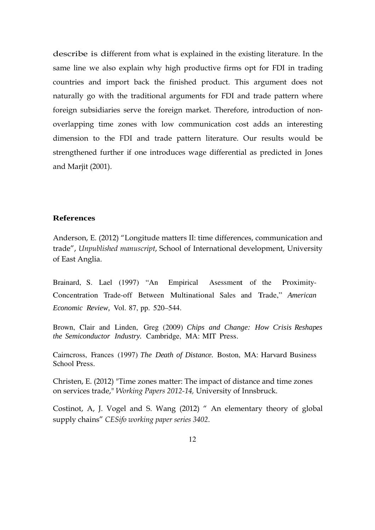describe is different from what is explained in the existing literature. In the same line we also explain why high productive firms opt for FDI in trading countries and import back the finished product. This argument does not naturally go with the traditional arguments for FDI and trade pattern where foreign subsidiaries serve the foreign market. Therefore, introduction of nonoverlapping time zones with low communication cost adds an interesting dimension to the FDI and trade pattern literature. Our results would be strengthened further if one introduces wage differential as predicted in Jones and Marjit (2001).

#### **References**

Anderson, E. (2012) "Longitude matters II: time differences, communication and trade", *Unpublished manuscript*, School of International development, University of East Anglia.

Brainard, S. Lael (1997) "An Empirical Asessment of the Proximity-Concentration Trade-off Between Multinational Sales and Trade," *American Economic Review,* Vol. 87, pp. 520–544.

Brown, Clair and Linden, Greg (2009) *Chips and Change: How Crisis Reshapes the Semiconductor Industry.* Cambridge, MA: MIT Press.

Cairncross, Frances (1997) *The Death of Distance.* Boston, MA: Harvard Business School Press.

Christen, E. (2012) "Time zones matter: The impact of distance and time zones on services trade," *Working Papers 2012-14,* University of Innsbruck.

Costinot, A, J. Vogel and S. Wang (2012) " An elementary theory of global supply chains" *CESifo working paper series 3402*.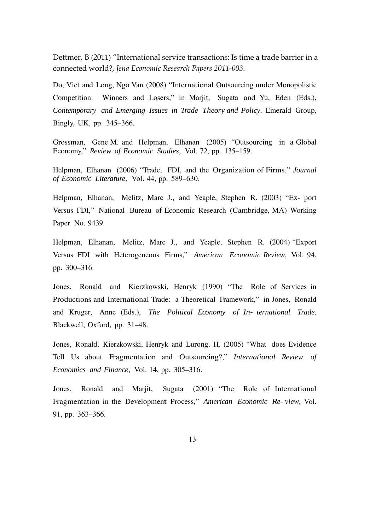Dettmer, B (2011) "International service transactions: Is time a trade barrier in a connected world?, *Jena Economic Research Papers 2011-003*.

Do, Viet and Long, Ngo Van (2008) "International Outsourcing under Monopolistic Competition: Winners and Losers," in Marjit, Sugata and Yu, Eden (Eds.), *Contemporary and Emerging Issues in Trade Theory and Policy.* Emerald Group, Bingly, UK, pp. 345–366.

Grossman, Gene M. and Helpman, Elhanan (2005) "Outsourcing in a Global Economy," *Review of Economic Studies,* Vol. 72, pp. 135–159.

Helpman, Elhanan (2006) "Trade, FDI, and the Organization of Firms," *Journal of Economic Literature,* Vol. 44, pp. 589–630.

Helpman, Elhanan, Melitz, Marc J., and Yeaple, Stephen R. (2003) "Ex- port Versus FDI," National Bureau of Economic Research (Cambridge, MA) Working Paper No. 9439.

Helpman, Elhanan, Melitz, Marc J., and Yeaple, Stephen R. (2004) "Export Versus FDI with Heterogeneous Firms," *American Economic Review,* Vol. 94, pp. 300–316.

Jones, Ronald and Kierzkowski, Henryk (1990) "The Role of Services in Productions and International Trade: a Theoretical Framework," in Jones, Ronald and Kruger, Anne (Eds.), *The Political Economy of In- ternational Trade.*  Blackwell, Oxford, pp. 31–48.

Jones, Ronald, Kierzkowski, Henryk and Lurong, H. (2005) "What does Evidence Tell Us about Fragmentation and Outsourcing?," *International Review of Economics and Finance,* Vol. 14, pp. 305–316.

Jones, Ronald and Marjit, Sugata (2001) "The Role of International Fragmentation in the Development Process," *American Economic Re- view,* Vol. 91, pp. 363–366.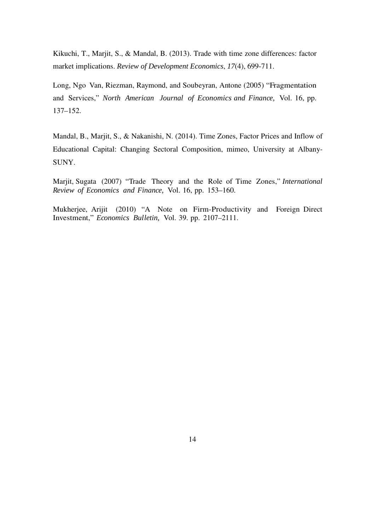Kikuchi, T., Marjit, S., & Mandal, B. (2013). Trade with time zone differences: factor market implications. *Review of Development Economics*, *17*(4), 699-711.

Long, Ngo Van, Riezman, Raymond, and Soubeyran, Antone (2005) "Fragmentation and Services," *North American Journal of Economics and Finance,* Vol. 16, pp. 137–152.

Mandal, B., Marjit, S., & Nakanishi, N. (2014). Time Zones, Factor Prices and Inflow of Educational Capital: Changing Sectoral Composition, mimeo, University at Albany-SUNY.

Marjit, Sugata (2007) "Trade Theory and the Role of Time Zones," *International Review of Economics and Finance,* Vol. 16, pp. 153–160.

Mukherjee, Arijit (2010) "A Note on Firm-Productivity and Foreign Direct Investment," *Economics Bulletin,* Vol. 39. pp. 2107–2111.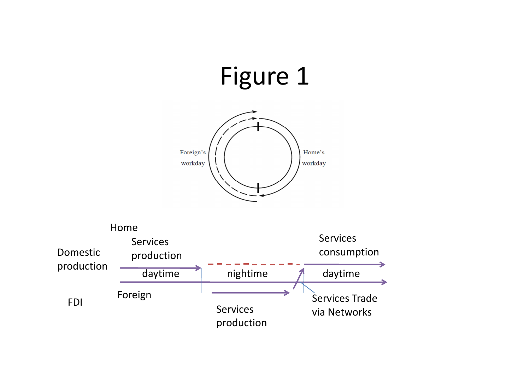